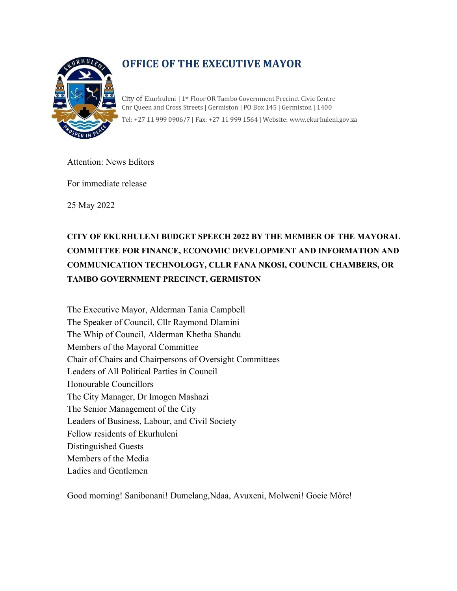

# **OFFICE OF THE EXECUTIVE MAYOR**

City of Ekurhuleni | 1st Floor OR Tambo Government Precinct Civic Centre Cnr Queen and Cross Streets | Germiston | PO Box 145 | Germiston | 1400 Tel: +27 11 999 0906/7 | Fax: +27 11 999 1564 | Website: www.ekurhuleni.gov.za

Attention: News Editors

For immediate release

25 May 2022

# **CITY OF EKURHULENI BUDGET SPEECH 2022 BY THE MEMBER OF THE MAYORAL COMMITTEE FOR FINANCE, ECONOMIC DEVELOPMENT AND INFORMATION AND COMMUNICATION TECHNOLOGY, CLLR FANA NKOSI, COUNCIL CHAMBERS, OR TAMBO GOVERNMENT PRECINCT, GERMISTON**

The Executive Mayor, Alderman Tania Campbell The Speaker of Council, Cllr Raymond Dlamini The Whip of Council, Alderman Khetha Shandu Members of the Mayoral Committee Chair of Chairs and Chairpersons of Oversight Committees Leaders of All Political Parties in Council Honourable Councillors The City Manager, Dr Imogen Mashazi The Senior Management of the City Leaders of Business, Labour, and Civil Society Fellow residents of Ekurhuleni Distinguished Guests Members of the Media Ladies and Gentlemen

Good morning! Sanibonani! Dumelang,Ndaa, Avuxeni, Molweni! Goeie Môre!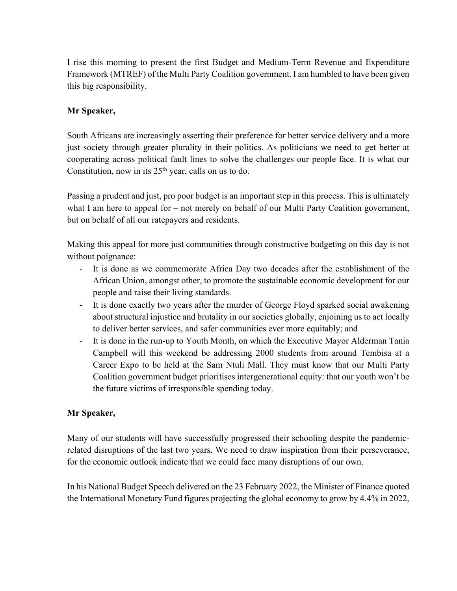I rise this morning to present the first Budget and Medium-Term Revenue and Expenditure Framework (MTREF) of the Multi Party Coalition government. I am humbled to have been given this big responsibility.

# **Mr Speaker,**

South Africans are increasingly asserting their preference for better service delivery and a more just society through greater plurality in their politics. As politicians we need to get better at cooperating across political fault lines to solve the challenges our people face. It is what our Constitution, now in its  $25<sup>th</sup>$  year, calls on us to do.

Passing a prudent and just, pro poor budget is an important step in this process. This is ultimately what I am here to appeal for – not merely on behalf of our Multi Party Coalition government, but on behalf of all our ratepayers and residents.

Making this appeal for more just communities through constructive budgeting on this day is not without poignance:

- It is done as we commemorate Africa Day two decades after the establishment of the African Union, amongst other, to promote the sustainable economic development for our people and raise their living standards.
- It is done exactly two years after the murder of George Floyd sparked social awakening about structural injustice and brutality in our societies globally, enjoining us to act locally to deliver better services, and safer communities ever more equitably; and
- It is done in the run-up to Youth Month, on which the Executive Mayor Alderman Tania Campbell will this weekend be addressing 2000 students from around Tembisa at a Career Expo to be held at the Sam Ntuli Mall. They must know that our Multi Party Coalition government budget prioritises intergenerational equity: that our youth won't be the future victims of irresponsible spending today.

## **Mr Speaker,**

Many of our students will have successfully progressed their schooling despite the pandemicrelated disruptions of the last two years. We need to draw inspiration from their perseverance, for the economic outlook indicate that we could face many disruptions of our own.

In his National Budget Speech delivered on the 23 February 2022, the Minister of Finance quoted the International Monetary Fund figures projecting the global economy to grow by 4.4% in 2022,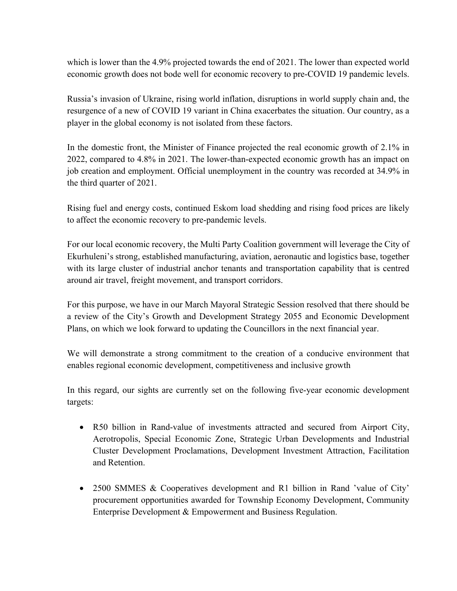which is lower than the 4.9% projected towards the end of 2021. The lower than expected world economic growth does not bode well for economic recovery to pre-COVID 19 pandemic levels.

Russia's invasion of Ukraine, rising world inflation, disruptions in world supply chain and, the resurgence of a new of COVID 19 variant in China exacerbates the situation. Our country, as a player in the global economy is not isolated from these factors.

In the domestic front, the Minister of Finance projected the real economic growth of 2.1% in 2022, compared to 4.8% in 2021. The lower-than-expected economic growth has an impact on job creation and employment. Official unemployment in the country was recorded at 34.9% in the third quarter of 2021.

Rising fuel and energy costs, continued Eskom load shedding and rising food prices are likely to affect the economic recovery to pre-pandemic levels.

For our local economic recovery, the Multi Party Coalition government will leverage the City of Ekurhuleni's strong, established manufacturing, aviation, aeronautic and logistics base, together with its large cluster of industrial anchor tenants and transportation capability that is centred around air travel, freight movement, and transport corridors.

For this purpose, we have in our March Mayoral Strategic Session resolved that there should be a review of the City's Growth and Development Strategy 2055 and Economic Development Plans, on which we look forward to updating the Councillors in the next financial year.

We will demonstrate a strong commitment to the creation of a conducive environment that enables regional economic development, competitiveness and inclusive growth

In this regard, our sights are currently set on the following five-year economic development targets:

- R50 billion in Rand-value of investments attracted and secured from Airport City, Aerotropolis, Special Economic Zone, Strategic Urban Developments and Industrial Cluster Development Proclamations, Development Investment Attraction, Facilitation and Retention.
- 2500 SMMES & Cooperatives development and R1 billion in Rand 'value of City' procurement opportunities awarded for Township Economy Development, Community Enterprise Development & Empowerment and Business Regulation.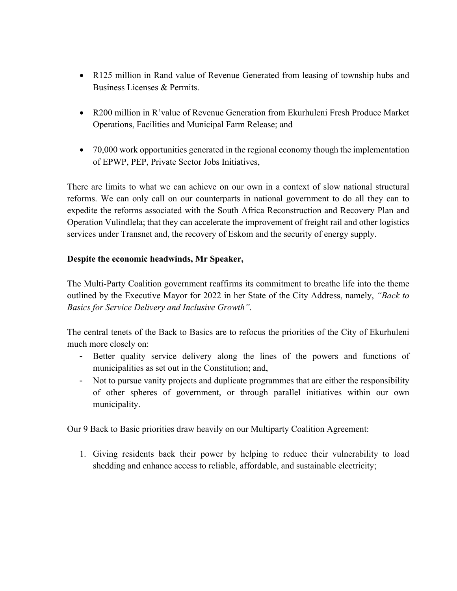- R125 million in Rand value of Revenue Generated from leasing of township hubs and Business Licenses & Permits.
- R200 million in R'value of Revenue Generation from Ekurhuleni Fresh Produce Market Operations, Facilities and Municipal Farm Release; and
- 70,000 work opportunities generated in the regional economy though the implementation of EPWP, PEP, Private Sector Jobs Initiatives,

There are limits to what we can achieve on our own in a context of slow national structural reforms. We can only call on our counterparts in national government to do all they can to expedite the reforms associated with the South Africa Reconstruction and Recovery Plan and Operation Vulindlela; that they can accelerate the improvement of freight rail and other logistics services under Transnet and, the recovery of Eskom and the security of energy supply.

# **Despite the economic headwinds, Mr Speaker,**

The Multi-Party Coalition government reaffirms its commitment to breathe life into the theme outlined by the Executive Mayor for 2022 in her State of the City Address, namely, *"Back to Basics for Service Delivery and Inclusive Growth".*

The central tenets of the Back to Basics are to refocus the priorities of the City of Ekurhuleni much more closely on:

- Better quality service delivery along the lines of the powers and functions of municipalities as set out in the Constitution; and,
- Not to pursue vanity projects and duplicate programmes that are either the responsibility of other spheres of government, or through parallel initiatives within our own municipality.

Our 9 Back to Basic priorities draw heavily on our Multiparty Coalition Agreement:

1. Giving residents back their power by helping to reduce their vulnerability to load shedding and enhance access to reliable, affordable, and sustainable electricity;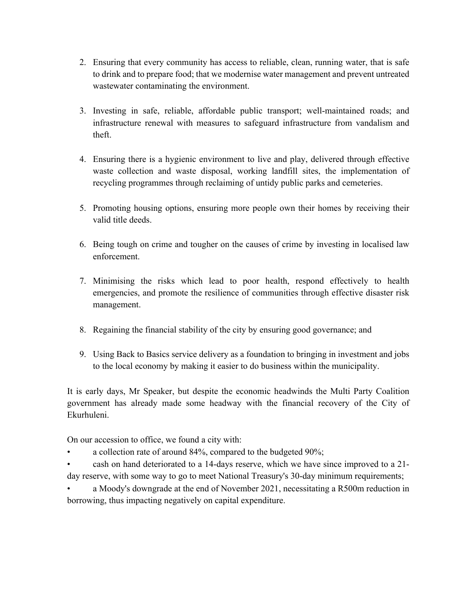- 2. Ensuring that every community has access to reliable, clean, running water, that is safe to drink and to prepare food; that we modernise water management and prevent untreated wastewater contaminating the environment.
- 3. Investing in safe, reliable, affordable public transport; well-maintained roads; and infrastructure renewal with measures to safeguard infrastructure from vandalism and theft.
- 4. Ensuring there is a hygienic environment to live and play, delivered through effective waste collection and waste disposal, working landfill sites, the implementation of recycling programmes through reclaiming of untidy public parks and cemeteries.
- 5. Promoting housing options, ensuring more people own their homes by receiving their valid title deeds.
- 6. Being tough on crime and tougher on the causes of crime by investing in localised law enforcement.
- 7. Minimising the risks which lead to poor health, respond effectively to health emergencies, and promote the resilience of communities through effective disaster risk management.
- 8. Regaining the financial stability of the city by ensuring good governance; and
- 9. Using Back to Basics service delivery as a foundation to bringing in investment and jobs to the local economy by making it easier to do business within the municipality.

It is early days, Mr Speaker, but despite the economic headwinds the Multi Party Coalition government has already made some headway with the financial recovery of the City of Ekurhuleni.

On our accession to office, we found a city with:

• a collection rate of around 84%, compared to the budgeted 90%;

• cash on hand deteriorated to a 14-days reserve, which we have since improved to a 21 day reserve, with some way to go to meet National Treasury's 30-day minimum requirements;

a Moody's downgrade at the end of November 2021, necessitating a R500m reduction in borrowing, thus impacting negatively on capital expenditure.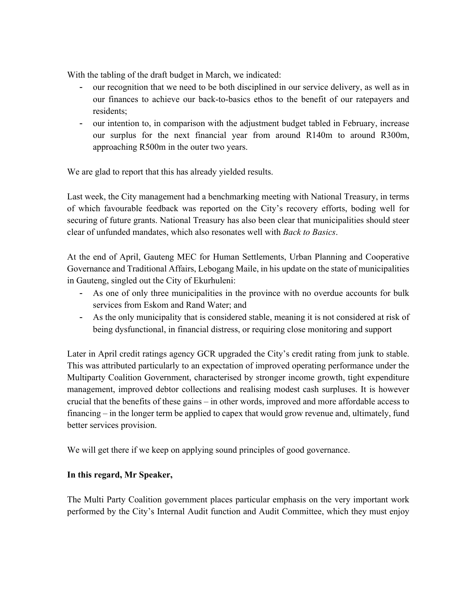With the tabling of the draft budget in March, we indicated:

- our recognition that we need to be both disciplined in our service delivery, as well as in our finances to achieve our back-to-basics ethos to the benefit of our ratepayers and residents;
- our intention to, in comparison with the adjustment budget tabled in February, increase our surplus for the next financial year from around R140m to around R300m, approaching R500m in the outer two years.

We are glad to report that this has already yielded results.

Last week, the City management had a benchmarking meeting with National Treasury, in terms of which favourable feedback was reported on the City's recovery efforts, boding well for securing of future grants. National Treasury has also been clear that municipalities should steer clear of unfunded mandates, which also resonates well with *Back to Basics*.

At the end of April, Gauteng MEC for Human Settlements, Urban Planning and Cooperative Governance and Traditional Affairs, Lebogang Maile, in his update on the state of municipalities in Gauteng, singled out the City of Ekurhuleni:

- As one of only three municipalities in the province with no overdue accounts for bulk services from Eskom and Rand Water; and
- As the only municipality that is considered stable, meaning it is not considered at risk of being dysfunctional, in financial distress, or requiring close monitoring and support

Later in April credit ratings agency GCR upgraded the City's credit rating from junk to stable. This was attributed particularly to an expectation of improved operating performance under the Multiparty Coalition Government, characterised by stronger income growth, tight expenditure management, improved debtor collections and realising modest cash surpluses. It is however crucial that the benefits of these gains – in other words, improved and more affordable access to financing – in the longer term be applied to capex that would grow revenue and, ultimately, fund better services provision.

We will get there if we keep on applying sound principles of good governance.

## **In this regard, Mr Speaker,**

The Multi Party Coalition government places particular emphasis on the very important work performed by the City's Internal Audit function and Audit Committee, which they must enjoy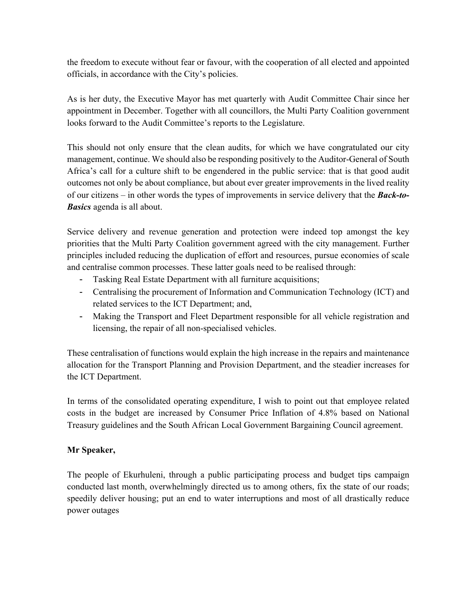the freedom to execute without fear or favour, with the cooperation of all elected and appointed officials, in accordance with the City's policies.

As is her duty, the Executive Mayor has met quarterly with Audit Committee Chair since her appointment in December. Together with all councillors, the Multi Party Coalition government looks forward to the Audit Committee's reports to the Legislature.

This should not only ensure that the clean audits, for which we have congratulated our city management, continue. We should also be responding positively to the Auditor-General of South Africa's call for a culture shift to be engendered in the public service: that is that good audit outcomes not only be about compliance, but about ever greater improvements in the lived reality of our citizens – in other words the types of improvements in service delivery that the *Back-to-Basics* agenda is all about.

Service delivery and revenue generation and protection were indeed top amongst the key priorities that the Multi Party Coalition government agreed with the city management. Further principles included reducing the duplication of effort and resources, pursue economies of scale and centralise common processes. These latter goals need to be realised through:

- Tasking Real Estate Department with all furniture acquisitions;
- Centralising the procurement of Information and Communication Technology (ICT) and related services to the ICT Department; and,
- Making the Transport and Fleet Department responsible for all vehicle registration and licensing, the repair of all non-specialised vehicles.

These centralisation of functions would explain the high increase in the repairs and maintenance allocation for the Transport Planning and Provision Department, and the steadier increases for the ICT Department.

In terms of the consolidated operating expenditure, I wish to point out that employee related costs in the budget are increased by Consumer Price Inflation of 4.8% based on National Treasury guidelines and the South African Local Government Bargaining Council agreement.

## **Mr Speaker,**

The people of Ekurhuleni, through a public participating process and budget tips campaign conducted last month, overwhelmingly directed us to among others, fix the state of our roads; speedily deliver housing; put an end to water interruptions and most of all drastically reduce power outages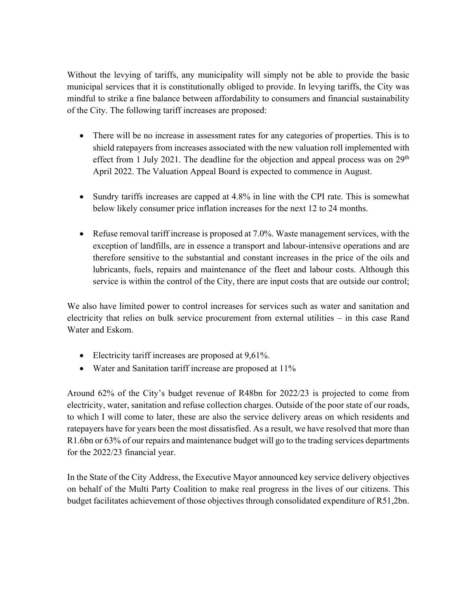Without the levying of tariffs, any municipality will simply not be able to provide the basic municipal services that it is constitutionally obliged to provide. In levying tariffs, the City was mindful to strike a fine balance between affordability to consumers and financial sustainability of the City. The following tariff increases are proposed:

- There will be no increase in assessment rates for any categories of properties. This is to shield ratepayers from increases associated with the new valuation roll implemented with effect from 1 July 2021. The deadline for the objection and appeal process was on  $29<sup>th</sup>$ April 2022. The Valuation Appeal Board is expected to commence in August.
- Sundry tariffs increases are capped at 4.8% in line with the CPI rate. This is somewhat below likely consumer price inflation increases for the next 12 to 24 months.
- Refuse removal tariff increase is proposed at 7.0%. Waste management services, with the exception of landfills, are in essence a transport and labour-intensive operations and are therefore sensitive to the substantial and constant increases in the price of the oils and lubricants, fuels, repairs and maintenance of the fleet and labour costs. Although this service is within the control of the City, there are input costs that are outside our control;

We also have limited power to control increases for services such as water and sanitation and electricity that relies on bulk service procurement from external utilities – in this case Rand Water and Eskom.

- Electricity tariff increases are proposed at 9,61%.
- Water and Sanitation tariff increase are proposed at 11%

Around 62% of the City's budget revenue of R48bn for 2022/23 is projected to come from electricity, water, sanitation and refuse collection charges. Outside of the poor state of our roads, to which I will come to later, these are also the service delivery areas on which residents and ratepayers have for years been the most dissatisfied. As a result, we have resolved that more than R1.6bn or 63% of our repairs and maintenance budget will go to the trading services departments for the 2022/23 financial year.

In the State of the City Address, the Executive Mayor announced key service delivery objectives on behalf of the Multi Party Coalition to make real progress in the lives of our citizens. This budget facilitates achievement of those objectives through consolidated expenditure of R51,2bn.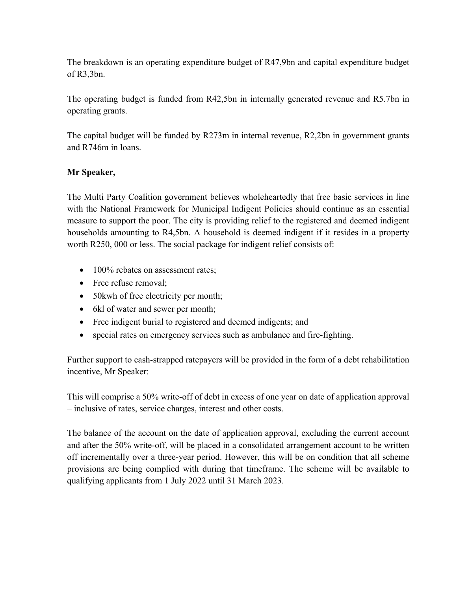The breakdown is an operating expenditure budget of R47,9bn and capital expenditure budget of R3,3bn.

The operating budget is funded from R42,5bn in internally generated revenue and R5.7bn in operating grants.

The capital budget will be funded by R273m in internal revenue, R2,2bn in government grants and R746m in loans.

# **Mr Speaker,**

The Multi Party Coalition government believes wholeheartedly that free basic services in line with the National Framework for Municipal Indigent Policies should continue as an essential measure to support the poor. The city is providing relief to the registered and deemed indigent households amounting to R4,5bn. A household is deemed indigent if it resides in a property worth R250, 000 or less. The social package for indigent relief consists of:

- 100% rebates on assessment rates:
- Free refuse removal;
- 50 kwh of free electricity per month;
- 6kl of water and sewer per month;
- Free indigent burial to registered and deemed indigents; and
- special rates on emergency services such as ambulance and fire-fighting.

Further support to cash-strapped ratepayers will be provided in the form of a debt rehabilitation incentive, Mr Speaker:

This will comprise a 50% write-off of debt in excess of one year on date of application approval – inclusive of rates, service charges, interest and other costs.

The balance of the account on the date of application approval, excluding the current account and after the 50% write-off, will be placed in a consolidated arrangement account to be written off incrementally over a three-year period. However, this will be on condition that all scheme provisions are being complied with during that timeframe. The scheme will be available to qualifying applicants from 1 July 2022 until 31 March 2023.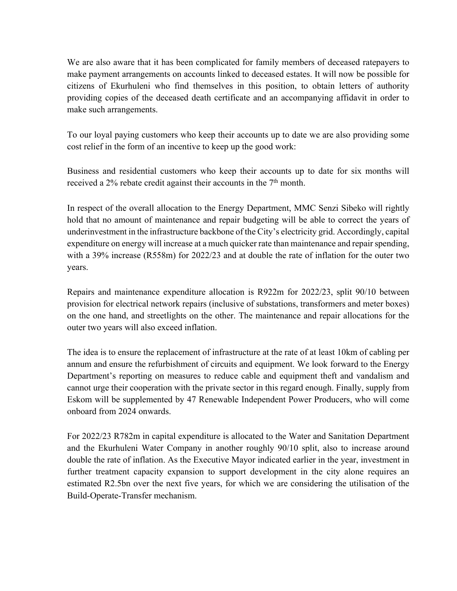We are also aware that it has been complicated for family members of deceased ratepayers to make payment arrangements on accounts linked to deceased estates. It will now be possible for citizens of Ekurhuleni who find themselves in this position, to obtain letters of authority providing copies of the deceased death certificate and an accompanying affidavit in order to make such arrangements.

To our loyal paying customers who keep their accounts up to date we are also providing some cost relief in the form of an incentive to keep up the good work:

Business and residential customers who keep their accounts up to date for six months will received a 2% rebate credit against their accounts in the  $7<sup>th</sup>$  month.

In respect of the overall allocation to the Energy Department, MMC Senzi Sibeko will rightly hold that no amount of maintenance and repair budgeting will be able to correct the years of underinvestment in the infrastructure backbone of the City's electricity grid. Accordingly, capital expenditure on energy will increase at a much quicker rate than maintenance and repair spending, with a 39% increase (R558m) for 2022/23 and at double the rate of inflation for the outer two years.

Repairs and maintenance expenditure allocation is R922m for 2022/23, split 90/10 between provision for electrical network repairs (inclusive of substations, transformers and meter boxes) on the one hand, and streetlights on the other. The maintenance and repair allocations for the outer two years will also exceed inflation.

The idea is to ensure the replacement of infrastructure at the rate of at least 10km of cabling per annum and ensure the refurbishment of circuits and equipment. We look forward to the Energy Department's reporting on measures to reduce cable and equipment theft and vandalism and cannot urge their cooperation with the private sector in this regard enough. Finally, supply from Eskom will be supplemented by 47 Renewable Independent Power Producers, who will come onboard from 2024 onwards.

For 2022/23 R782m in capital expenditure is allocated to the Water and Sanitation Department and the Ekurhuleni Water Company in another roughly 90/10 split, also to increase around double the rate of inflation. As the Executive Mayor indicated earlier in the year, investment in further treatment capacity expansion to support development in the city alone requires an estimated R2.5bn over the next five years, for which we are considering the utilisation of the Build-Operate-Transfer mechanism.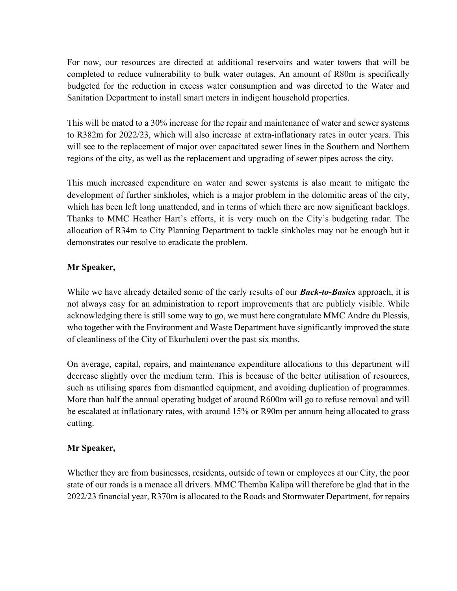For now, our resources are directed at additional reservoirs and water towers that will be completed to reduce vulnerability to bulk water outages. An amount of R80m is specifically budgeted for the reduction in excess water consumption and was directed to the Water and Sanitation Department to install smart meters in indigent household properties.

This will be mated to a 30% increase for the repair and maintenance of water and sewer systems to R382m for 2022/23, which will also increase at extra-inflationary rates in outer years. This will see to the replacement of major over capacitated sewer lines in the Southern and Northern regions of the city, as well as the replacement and upgrading of sewer pipes across the city.

This much increased expenditure on water and sewer systems is also meant to mitigate the development of further sinkholes, which is a major problem in the dolomitic areas of the city, which has been left long unattended, and in terms of which there are now significant backlogs. Thanks to MMC Heather Hart's efforts, it is very much on the City's budgeting radar. The allocation of R34m to City Planning Department to tackle sinkholes may not be enough but it demonstrates our resolve to eradicate the problem.

## **Mr Speaker,**

While we have already detailed some of the early results of our *Back-to-Basics* approach, it is not always easy for an administration to report improvements that are publicly visible. While acknowledging there is still some way to go, we must here congratulate MMC Andre du Plessis, who together with the Environment and Waste Department have significantly improved the state of cleanliness of the City of Ekurhuleni over the past six months.

On average, capital, repairs, and maintenance expenditure allocations to this department will decrease slightly over the medium term. This is because of the better utilisation of resources, such as utilising spares from dismantled equipment, and avoiding duplication of programmes. More than half the annual operating budget of around R600m will go to refuse removal and will be escalated at inflationary rates, with around 15% or R90m per annum being allocated to grass cutting.

## **Mr Speaker,**

Whether they are from businesses, residents, outside of town or employees at our City, the poor state of our roads is a menace all drivers. MMC Themba Kalipa will therefore be glad that in the 2022/23 financial year, R370m is allocated to the Roads and Stormwater Department, for repairs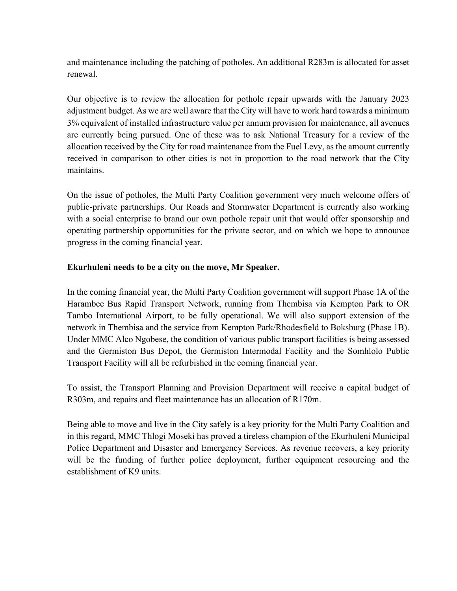and maintenance including the patching of potholes. An additional R283m is allocated for asset renewal.

Our objective is to review the allocation for pothole repair upwards with the January 2023 adjustment budget. As we are well aware that the City will have to work hard towards a minimum 3% equivalent of installed infrastructure value per annum provision for maintenance, all avenues are currently being pursued. One of these was to ask National Treasury for a review of the allocation received by the City for road maintenance from the Fuel Levy, as the amount currently received in comparison to other cities is not in proportion to the road network that the City maintains.

On the issue of potholes, the Multi Party Coalition government very much welcome offers of public-private partnerships. Our Roads and Stormwater Department is currently also working with a social enterprise to brand our own pothole repair unit that would offer sponsorship and operating partnership opportunities for the private sector, and on which we hope to announce progress in the coming financial year.

# **Ekurhuleni needs to be a city on the move, Mr Speaker.**

In the coming financial year, the Multi Party Coalition government will support Phase 1A of the Harambee Bus Rapid Transport Network, running from Thembisa via Kempton Park to OR Tambo International Airport, to be fully operational. We will also support extension of the network in Thembisa and the service from Kempton Park/Rhodesfield to Boksburg (Phase 1B). Under MMC Alco Ngobese, the condition of various public transport facilities is being assessed and the Germiston Bus Depot, the Germiston Intermodal Facility and the Somhlolo Public Transport Facility will all be refurbished in the coming financial year.

To assist, the Transport Planning and Provision Department will receive a capital budget of R303m, and repairs and fleet maintenance has an allocation of R170m.

Being able to move and live in the City safely is a key priority for the Multi Party Coalition and in this regard, MMC Thlogi Moseki has proved a tireless champion of the Ekurhuleni Municipal Police Department and Disaster and Emergency Services. As revenue recovers, a key priority will be the funding of further police deployment, further equipment resourcing and the establishment of K9 units.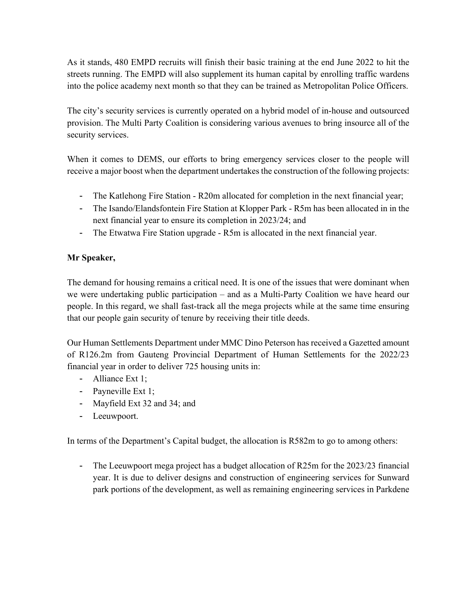As it stands, 480 EMPD recruits will finish their basic training at the end June 2022 to hit the streets running. The EMPD will also supplement its human capital by enrolling traffic wardens into the police academy next month so that they can be trained as Metropolitan Police Officers.

The city's security services is currently operated on a hybrid model of in-house and outsourced provision. The Multi Party Coalition is considering various avenues to bring insource all of the security services.

When it comes to DEMS, our efforts to bring emergency services closer to the people will receive a major boost when the department undertakes the construction of the following projects:

- The Katlehong Fire Station R20m allocated for completion in the next financial year;
- The Isando/Elandsfontein Fire Station at Klopper Park R5m has been allocated in in the next financial year to ensure its completion in 2023/24; and
- The Etwatwa Fire Station upgrade R5m is allocated in the next financial year.

# **Mr Speaker,**

The demand for housing remains a critical need. It is one of the issues that were dominant when we were undertaking public participation – and as a Multi-Party Coalition we have heard our people. In this regard, we shall fast-track all the mega projects while at the same time ensuring that our people gain security of tenure by receiving their title deeds.

Our Human Settlements Department under MMC Dino Peterson has received a Gazetted amount of R126.2m from Gauteng Provincial Department of Human Settlements for the 2022/23 financial year in order to deliver 725 housing units in:

- Alliance Ext 1;
- Payneville Ext 1;
- Mayfield Ext 32 and 34; and
- Leeuwpoort.

In terms of the Department's Capital budget, the allocation is R582m to go to among others:

- The Leeuwpoort mega project has a budget allocation of R25m for the 2023/23 financial year. It is due to deliver designs and construction of engineering services for Sunward park portions of the development, as well as remaining engineering services in Parkdene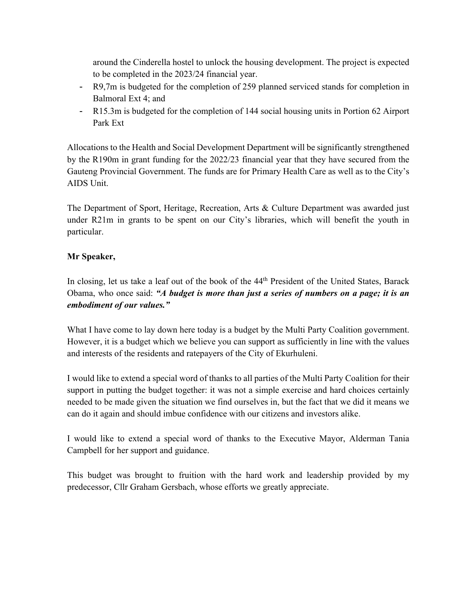around the Cinderella hostel to unlock the housing development. The project is expected to be completed in the 2023/24 financial year.

- R9,7m is budgeted for the completion of 259 planned serviced stands for completion in Balmoral Ext 4; and
- R15.3m is budgeted for the completion of 144 social housing units in Portion 62 Airport Park Ext

Allocations to the Health and Social Development Department will be significantly strengthened by the R190m in grant funding for the 2022/23 financial year that they have secured from the Gauteng Provincial Government. The funds are for Primary Health Care as well as to the City's AIDS Unit.

The Department of Sport, Heritage, Recreation, Arts & Culture Department was awarded just under R21m in grants to be spent on our City's libraries, which will benefit the youth in particular.

# **Mr Speaker,**

In closing, let us take a leaf out of the book of the 44<sup>th</sup> President of the United States, Barack Obama, who once said: *"A budget is more than just a series of numbers on a page; it is an embodiment of our values."*

What I have come to lay down here today is a budget by the Multi Party Coalition government. However, it is a budget which we believe you can support as sufficiently in line with the values and interests of the residents and ratepayers of the City of Ekurhuleni.

I would like to extend a special word of thanks to all parties of the Multi Party Coalition for their support in putting the budget together: it was not a simple exercise and hard choices certainly needed to be made given the situation we find ourselves in, but the fact that we did it means we can do it again and should imbue confidence with our citizens and investors alike.

I would like to extend a special word of thanks to the Executive Mayor, Alderman Tania Campbell for her support and guidance.

This budget was brought to fruition with the hard work and leadership provided by my predecessor, Cllr Graham Gersbach, whose efforts we greatly appreciate.